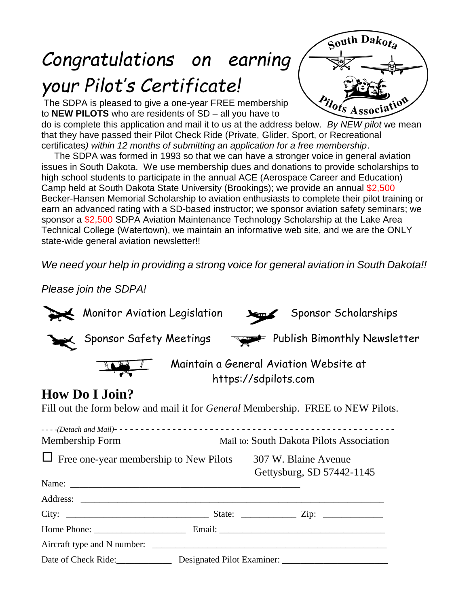# *Congratulations on earning your Pilot's Certificate!*

The SDPA is pleased to give a one-year FREE membership to **NEW PILOTS** who are residents of SD – all you have to



do is complete this application and mail it to us at the address below. *By NEW pilot* we mean that they have passed their Pilot Check Ride (Private, Glider, Sport, or Recreational certificates*) within 12 months of submitting an application for a free membership*.

 The SDPA was formed in 1993 so that we can have a stronger voice in general aviation issues in South Dakota. We use membership dues and donations to provide scholarships to high school students to participate in the annual ACE (Aerospace Career and Education) Camp held at South Dakota State University (Brookings); we provide an annual \$2,500 Becker-Hansen Memorial Scholarship to aviation enthusiasts to complete their pilot training or earn an advanced rating with a SD-based instructor; we sponsor aviation safety seminars; we sponsor a \$2,500 SDPA Aviation Maintenance Technology Scholarship at the Lake Area Technical College (Watertown), we maintain an informative web site, and we are the ONLY state-wide general aviation newsletter!!

*We need your help in providing a strong voice for general aviation in South Dakota!!* 

*Please join the SDPA!*

|                                                                                        | Monitor Aviation Legislation |                                                                | Sponsor Scholarships |                                                   |  |
|----------------------------------------------------------------------------------------|------------------------------|----------------------------------------------------------------|----------------------|---------------------------------------------------|--|
|                                                                                        | Sponsor Safety Meetings      |                                                                |                      | Publish Bimonthly Newsletter                      |  |
|                                                                                        |                              | Maintain a General Aviation Website at<br>https://sdpilots.com |                      |                                                   |  |
|                                                                                        | <b>How Do I Join?</b>        |                                                                |                      |                                                   |  |
| Fill out the form below and mail it for <i>General</i> Membership. FREE to NEW Pilots. |                              |                                                                |                      |                                                   |  |
|                                                                                        |                              |                                                                |                      |                                                   |  |
| Membership Form                                                                        |                              | Mail to: South Dakota Pilots Association                       |                      |                                                   |  |
| Free one-year membership to New Pilots                                                 |                              |                                                                |                      | 307 W. Blaine Avenue<br>Gettysburg, SD 57442-1145 |  |
|                                                                                        | Name: Name:                  |                                                                |                      |                                                   |  |
|                                                                                        |                              |                                                                |                      |                                                   |  |
|                                                                                        |                              |                                                                |                      |                                                   |  |
|                                                                                        |                              |                                                                |                      |                                                   |  |
|                                                                                        |                              |                                                                |                      |                                                   |  |
|                                                                                        | Date of Check Ride:          |                                                                |                      |                                                   |  |